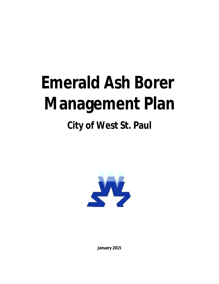# **Emerald Ash Borer Management Plan**

# **City of West St. Paul**



**January 2015**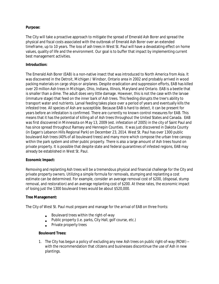# **Purpose:**

The City will take a proactive approach to mitigate the spread of Emerald Ash Borer and spread the physical and fiscal costs associated with the outbreak of Emerald Ash Borer over an extended timeframe, up to 10 years. The loss of ash trees in West St. Paul will have a devastating effect on home values, quality of life and the environment. Our goal is to buffer that impact by implementing current best management activities.

# **Introduction:**

The Emerald Ash Borer (EAB) is a non-native insect that was introduced to North America from Asia. It was discovered in the Detroit, Michigan / Windsor, Ontario area in 2002 and probably arrived in wood packing materials on cargo ships or airplanes. Despite eradication and suppression efforts, EAB has killed over 20 million Ash trees in Michigan, Ohio, Indiana, Illinois, Maryland and Ontario. EAB is a beetle that is smaller than a dime. The adult does very little damage. However, this is not the case with the larvae (immature stage) that feed on the inner bark of Ash trees. This feeding disrupts the tree's ability to transport water and nutrients. Larval feeding takes place over a period of years and eventually kills the infested tree. All species of Ash are susceptible. Because EAB is hard to detect, it can be present for years before an infestation is confirmed. There are currently no known control measures for EAB. This means that it has the potential of killing all of Ash trees throughout the United States and Canada. EAB was first discovered in Minnesota on May 13, 2009 (est. infestation of 2005) in the city of Saint Paul and has since spread throughout Ramsey and Hennepin Counties. It was just discovered in Dakota County (in Eagan's Lebanon Hills Regional Park) on December 23, 2014. West St. Paul has over 1300 public boulevard Ash trees (40% of all boulevard trees) and many more which compose the urban tree canopy within the park system and other public property. There is also a large amount of Ash trees found on private property. It is possible that despite state and federal quarantines of infested regions, EAB may already be established in West St. Paul.

#### **Economic Impact:**

Removing and replanting Ash trees will be a tremendous physical and financial challenge for the City and private property owners. Utilizing a simple formula for removals, stumping and replanting a cost estimate can be determined. For example, consider an average removal cost of \$200, (disposal, stump removal, and restoration) and an average replanting cost of \$200. At these rates, the economic impact of losing just the 1300 boulevard trees would be about \$520,000.

#### **Tree Management:**

The City of West St. Paul must prepare and manage for the arrival of EAB on three fronts:

- Boulevard trees within the right-of-way
- Public property (i.e. parks, City Hall, golf course, etc.)
- **•** Private property trees

#### **Boulevard Trees:**

1. The City has begun a policy of excluding any new Ash trees on public right-of-way (ROW) – with the recommendation that citizens and businesses discontinue the use of Ash in new plantings.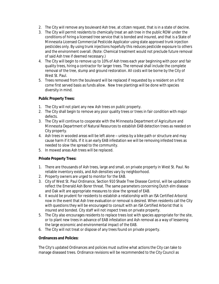- 2. The City will remove any boulevard Ash tree, at citizen request, that is in a state of decline.
- 3. The City will permit residents to chemically treat an ash tree in the public ROW under the conditions of hiring a licensed tree service that is bonded and insured, and that is a State of Minnesota Licensed Commercial Pesticide Applicator using state approved trunk injection pesticides only. By using trunk injections hopefully this reduces pesticide exposure to others and the environment overall. (Note: Chemical treatment would not preclude future removal of said Ash tree if deemed necessary.)
- 4. The City will begin to remove up to 10% of Ash trees each year beginning with poor and fair quality trees, hiring a contractor for larger trees. The removal shall include the complete removal of the tree, stump and ground restoration. All costs will be borne by the City of West St. Paul.
- 5. Trees removed from the boulevard will be replaced if requested by a resident on a first come first served basis as funds allow. New tree plantings will be done with species diversity in mind.

# **Public Property Trees:**

- 1. The City will not plant any new Ash trees on public property.
- 2. The City shall begin to remove any poor quality trees or trees in fair condition with major defects.
- 3. The City will continue to cooperate with the Minnesota Department of Agriculture and Minnesota Department of Natural Resources to establish EAB detection trees as needed on City property.
- 4. Ash trees in wooded areas will be left alone unless by a bike path or structure and may cause harm if it falls. If it is an early EAB infestation we will be removing infested trees as needed to slow the spread to the community.
- 5. In mowed areas Ash trees will be replaced.

# **Private Property Trees:**

- 1. There are thousands of Ash trees, large and small, on private property in West St. Paul. No reliable inventory exists, and Ash densities vary by neighborhood.
- 2. Property owners are urged to monitor for the EAB.
- 3. City of West St. Paul Ordinance, Section 910 Shade Tree Disease Control, will be updated to reflect the Emerald Ash Borer threat. The same parameters concerning Dutch elm disease and Oak wilt are appropriate measures to slow the spread of EAB.
- 4. It would be prudent for residents to establish a relationship with an ISA Certified Arborist now in the event that Ash tree evaluation or removal is desired. When residents call the City with questions they will be encouraged to consult with an ISA Certified Arborist that is insured and bonded. City staff will not inspect trees on private property.
- 5. The City also encourages residents to replace trees lost with species appropriate for the site, or to plant new trees in advance of EAB infestation and Ash removal as a way of lessening the large economic and environmental impact of the EAB.
- 6. The City will not treat or dispose of any trees found on private property.

#### **Ordinances and Policies:**

The City's updated Ordinances and policies must outline what actions the City can take to manage diseased trees. Ordinance revisions will be recommended to the City Council as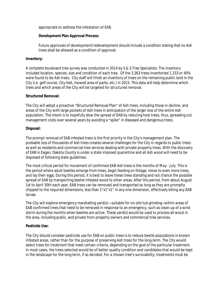appropriate to address the infestation of EAB.

#### **Development Plan Approval Process:**

Future approvals of development/redevelopment should include a condition stating that no Ash trees shall be allowed as a condition of approval.

#### **Inventory:**

A complete boulevard tree survey was conducted in 2014 by S & S Tree Specialists. The inventory included location, species, size and condition of each tree. Of the 3,363 trees inventoried 1,333 or 40% were found to be Ash trees. City staff will finish an inventory of trees on the remaining public land in the City (i.e. golf course, City Hall, mowed area of parks, etc.) in 2015. This data will help determine which trees and which areas of the City will be targeted for structured removal.

#### **Structured Removal:**

The City will adopt a proactive "Structured Removal Plan" of Ash trees, including those in decline, and areas of the City with large pockets of Ash trees in anticipation of the larger loss of the entire Ash population. The intent is to hopefully slow the spread of EAB by reducing host trees, thus, spreading out management costs over several years by avoiding a "spike" in diseased and dangerous trees.

#### **Disposal:**

The prompt removal of EAB infested trees is the first priority in the City's management plan. The probable loss of thousands of Ash trees creates several challenges for the City in regards to public trees as well as residents and commercial tree services dealing with private property trees. With the discovery of EAB in Eagan, Dakota County is under a state imposed quarantine and all Ash wood will need to be disposed of following state guidelines.

The most critical period for movement of confirmed EAB Ash trees is the months of May - July. This is the period where adult beetles emerge from trees, begin feeding on foliage, move to even more trees, and lay their eggs. During this period, it is best to leave these trees standing and not chance the possible spread of EAB by transporting beetle infested wood to other areas. After this period, from about August 1st to April 30th each year, EAB trees can be removed and transported so long as they are promptly chipped to the required dimensions, less than 1"x1"x1" in any one dimension, effectively killing any EAB larvae.

The City will explore emergency marshalling yard(s)—suitable for on-site tub grinding--within areas of EAB confirmed trees that need to be removed in response to an emergency, such as clean-up of a wind storm during the months when beetles are active. These yard(s) would be used to process all wood in the area, including public, and private from property owners and commercial tree services.

#### **Pesticide Use:**

The City should consider pesticide use for EAB on public trees is to reduce beetle populations in known infested areas, rather than for the purpose of preserving Ash trees for the long-term. The City would select trees for treatment that meet certain criteria, depending on the goal of the particular treatment. In most cases, the trees selected would be of better quality condition and candidates that would be kept in the landscape for the long term, if so decided. For a chosen tree's survivability, treatments must be